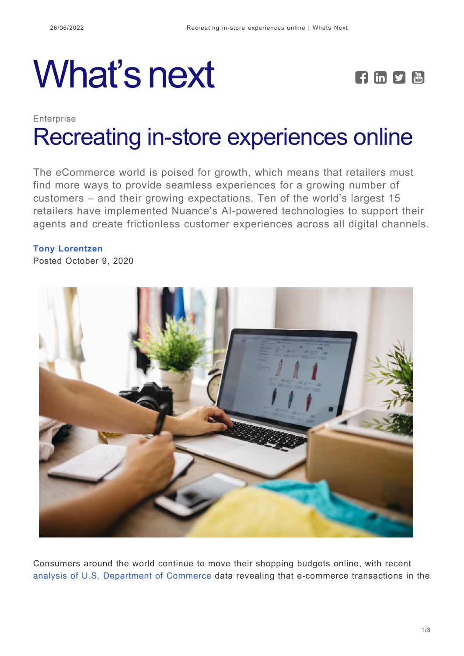## What's next **FEPE**



## **Enterprise** [Recreating in-store experiences online](https://whatsnext.nuance.com/enterprise/recreating-in-store-experiences-online/)

The eCommerce world is poised for growth, which means that retailers must find more ways to provide seamless experiences for a growing number of customers – and their growing expectations. Ten of the world's largest 15 retailers have implemented Nuance's AI-powered technologies to support their agents and create frictionless customer experiences across all digital channels.

## **[Tony Lorentzen](https://whatsnext.nuance.com/author/tony-lorentzen/)**

Posted October 9, 2020



Consumers around the world continue to move their shopping budgets online, with recent [analysis of U.S. Department of Commerce](https://seekingalpha.com/article/4373491-e-commerce-entering-next-wave-of-growth) data revealing that e-commerce transactions in the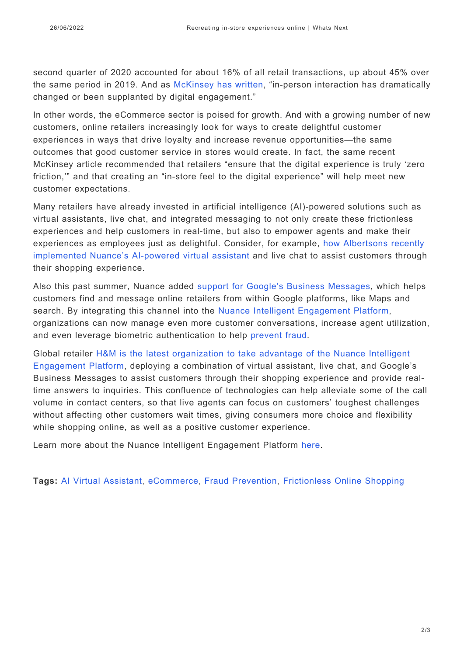second quarter of 2020 accounted for about 16% of all retail transactions, up about 45% over the same period in 2019. And as [McKinsey has written](https://www.mckinsey.com/industries/retail/our-insights/adapting-to-the-next-normal-in-retail-the-customer-experience-imperative), "in-person interaction has dramatically changed or been supplanted by digital engagement."

In other words, the eCommerce sector is poised for growth. And with a growing number of new customers, online retailers increasingly look for ways to create delightful customer experiences in ways that drive loyalty and increase revenue opportunities—the same outcomes that good customer service in stores would create. In fact, the same recent McKinsey article recommended that retailers "ensure that the digital experience is truly 'zero friction,'" and that creating an "in-store feel to the digital experience" will help meet new customer expectations.

Many retailers have already invested in artificial intelligence (AI)-powered solutions such as virtual assistants, live chat, and integrated messaging to not only create these frictionless experiences and help customers in real-time, but also to empower agents and make their experiences as employees just as delightful. Consider, for example, [how Albertsons recently](https://news.nuance.com/2020-05-06-Albertsons-Companies-Supports-Online-Grocery-Shoppers-with-Nuance-AI-powered-Virtual-Assistant-and-Live-Chat?_ga=2.233496542.1555268117.1601913192-1693409694.1600951822) [implemented Nuance's AI-powered virtual assistant](https://news.nuance.com/2020-05-06-Albertsons-Companies-Supports-Online-Grocery-Shoppers-with-Nuance-AI-powered-Virtual-Assistant-and-Live-Chat?_ga=2.233496542.1555268117.1601913192-1693409694.1600951822) and live chat to assist customers through their shopping experience.

Also this past summer, Nuance added [support for Google's Business Messages](https://whatsnext.nuance.com/enterprise/nuance-adds-support-for-googles-business-messages-to-virtual-assistant-and-live-chat-offerings/), which helps customers find and message online retailers from within Google platforms, like Maps and search. By integrating this channel into the [Nuance Intelligent Engagement Platform](https://www.nuance.com/omni-channel-customer-engagement/industry/retail.html?cid=7016T000002LPg8QAG&utm_campaign=XEX-OT-2022-Enterprise_Blogs&utm_medium=Website&utm_source=whats-next), organizations can now manage even more customer conversations, increase agent utilization, and even leverage biometric authentication to help [prevent fraud.](https://www.nuance.com/omni-channel-customer-engagement/authentication-and-fraud-prevention/intelligent-fraud-prevention.html?cid=7016T000002LPg8QAG&utm_campaign=XEX-OT-2022-Enterprise_Blogs&utm_medium=Website&utm_source=whats-next)

Global retailer [H&M is the latest organization to take advantage of the Nuance Intelligent](https://news.nuance.com/2020-10-06-H-M-Extends-Nuance-Virtual-Assistant-and-Live-Chat-to-Googles-Business-Messages) [Engagement Platform](https://news.nuance.com/2020-10-06-H-M-Extends-Nuance-Virtual-Assistant-and-Live-Chat-to-Googles-Business-Messages), deploying a combination of virtual assistant, live chat, and Google's Business Messages to assist customers through their shopping experience and provide realtime answers to inquiries. This confluence of technologies can help alleviate some of the call volume in contact centers, so that live agents can focus on customers' toughest challenges without affecting other customers wait times, giving consumers more choice and flexibility while shopping online, as well as a positive customer experience.

Learn more about the Nuance Intelligent Engagement Platform [here](https://www.nuance.com/omni-channel-customer-engagement/industry/retail.html?cid=7016T000002LPg8QAG&utm_campaign=XEX-OT-2022-Enterprise_Blogs&utm_medium=Website&utm_source=whats-next).

**Tags:** [AI Virtual Assistant](https://whatsnext.nuance.com/tag/ai-virtual-assistant/), [eCommerce,](https://whatsnext.nuance.com/tag/ecommerce/) [Fraud Prevention,](https://whatsnext.nuance.com/tag/fraud-prevention/) [Frictionless Online Shopping](https://whatsnext.nuance.com/tag/frictionless-online-shopping/)